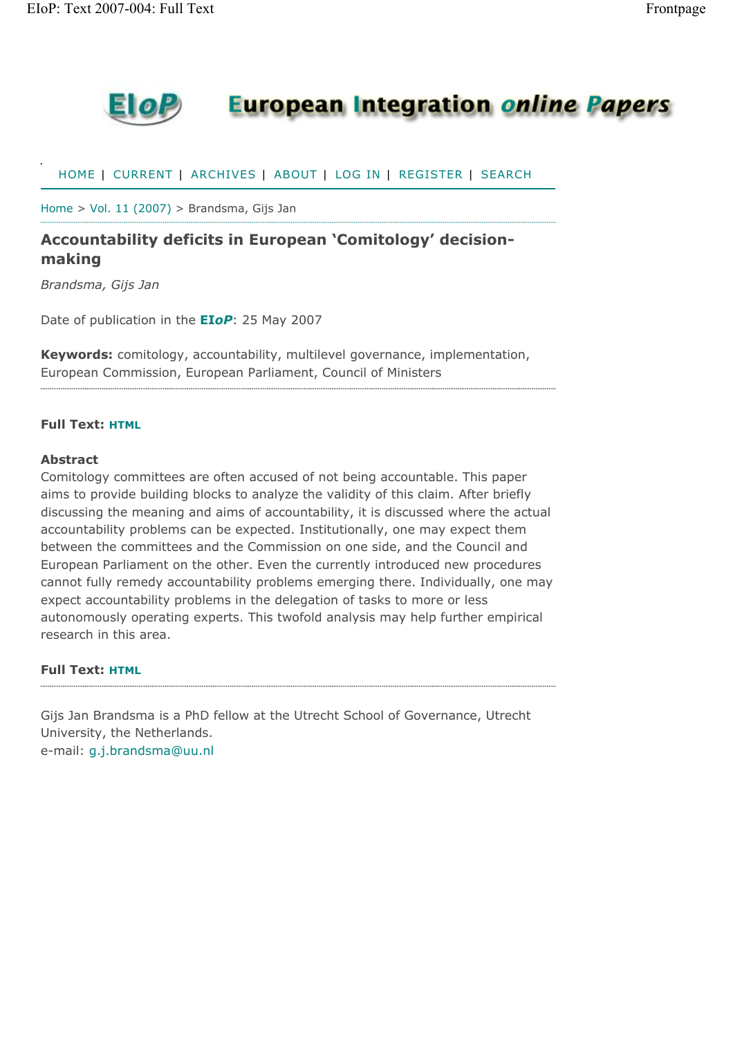

## **European Integration online Papers**

HOME | CURRENT | ARCHIVES | ABOUT | LOG IN | REGISTER | SEARCH

Home > Vol. 11 (2007) > Brandsma, Gijs Jan

### **Accountability deficits in European 'Comitology' decisionmaking**

*Brandsma, Gijs Jan*

Date of publication in the **EI***oP*: 25 May 2007

**Keywords:** comitology, accountability, multilevel governance, implementation, European Commission, European Parliament, Council of Ministers

#### **Full Text: HTML**

#### **Abstract**

Comitology committees are often accused of not being accountable. This paper aims to provide building blocks to analyze the validity of this claim. After briefly discussing the meaning and aims of accountability, it is discussed where the actual accountability problems can be expected. Institutionally, one may expect them between the committees and the Commission on one side, and the Council and European Parliament on the other. Even the currently introduced new procedures cannot fully remedy accountability problems emerging there. Individually, one may expect accountability problems in the delegation of tasks to more or less autonomously operating experts. This twofold analysis may help further empirical research in this area.

#### **Full Text: HTML**

Gijs Jan Brandsma is a PhD fellow at the Utrecht School of Governance, Utrecht University, the Netherlands. e-mail: g.j.brandsma@uu.nl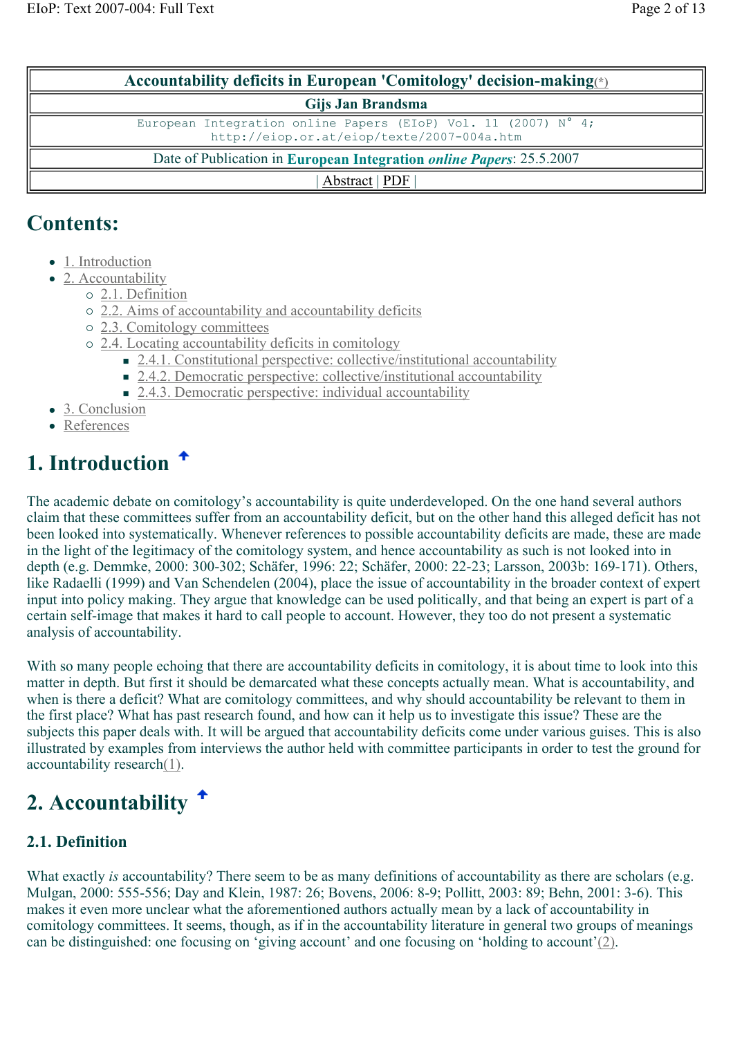| Accountability deficits in European 'Comitology' decision-making $\leq$                                                           |  |  |  |  |
|-----------------------------------------------------------------------------------------------------------------------------------|--|--|--|--|
| Gijs Jan Brandsma                                                                                                                 |  |  |  |  |
| European Integration online Papers (EIoP) Vol. 11 (2007) $\overline{N^{\circ} 4}$ ;<br>http://eiop.or.at/eiop/texte/2007-004a.htm |  |  |  |  |
| Date of Publication in European Integration <i>online Papers</i> : 25.5.2007                                                      |  |  |  |  |
| Abstract   PDF                                                                                                                    |  |  |  |  |

## **Contents:**

- 1. Introduction
- $\bullet$  2. Accountability
	- { 2.1. Definition
	- { 2.2. Aims of accountability and accountability deficits
	- { 2.3. Comitology committees
	- { 2.4. Locating accountability deficits in comitology
		- 2.4.1. Constitutional perspective: collective/institutional accountability
		- 2.4.2. Democratic perspective: collective/institutional accountability
		- 2.4.3. Democratic perspective: individual accountability
- 3. Conclusion
- References

# **1. Introduction**

The academic debate on comitology's accountability is quite underdeveloped. On the one hand several authors claim that these committees suffer from an accountability deficit, but on the other hand this alleged deficit has not been looked into systematically. Whenever references to possible accountability deficits are made, these are made in the light of the legitimacy of the comitology system, and hence accountability as such is not looked into in depth (e.g. Demmke, 2000: 300-302; Schäfer, 1996: 22; Schäfer, 2000: 22-23; Larsson, 2003b: 169-171). Others, like Radaelli (1999) and Van Schendelen (2004), place the issue of accountability in the broader context of expert input into policy making. They argue that knowledge can be used politically, and that being an expert is part of a certain self-image that makes it hard to call people to account. However, they too do not present a systematic analysis of accountability.

With so many people echoing that there are accountability deficits in comitology, it is about time to look into this matter in depth. But first it should be demarcated what these concepts actually mean. What is accountability, and when is there a deficit? What are comitology committees, and why should accountability be relevant to them in the first place? What has past research found, and how can it help us to investigate this issue? These are the subjects this paper deals with. It will be argued that accountability deficits come under various guises. This is also illustrated by examples from interviews the author held with committee participants in order to test the ground for accountability research(1).

# **2. Accountability**

### **2.1. Definition**

What exactly *is* accountability? There seem to be as many definitions of accountability as there are scholars (e.g. Mulgan, 2000: 555-556; Day and Klein, 1987: 26; Bovens, 2006: 8-9; Pollitt, 2003: 89; Behn, 2001: 3-6). This makes it even more unclear what the aforementioned authors actually mean by a lack of accountability in comitology committees. It seems, though, as if in the accountability literature in general two groups of meanings can be distinguished: one focusing on 'giving account' and one focusing on 'holding to account'(2).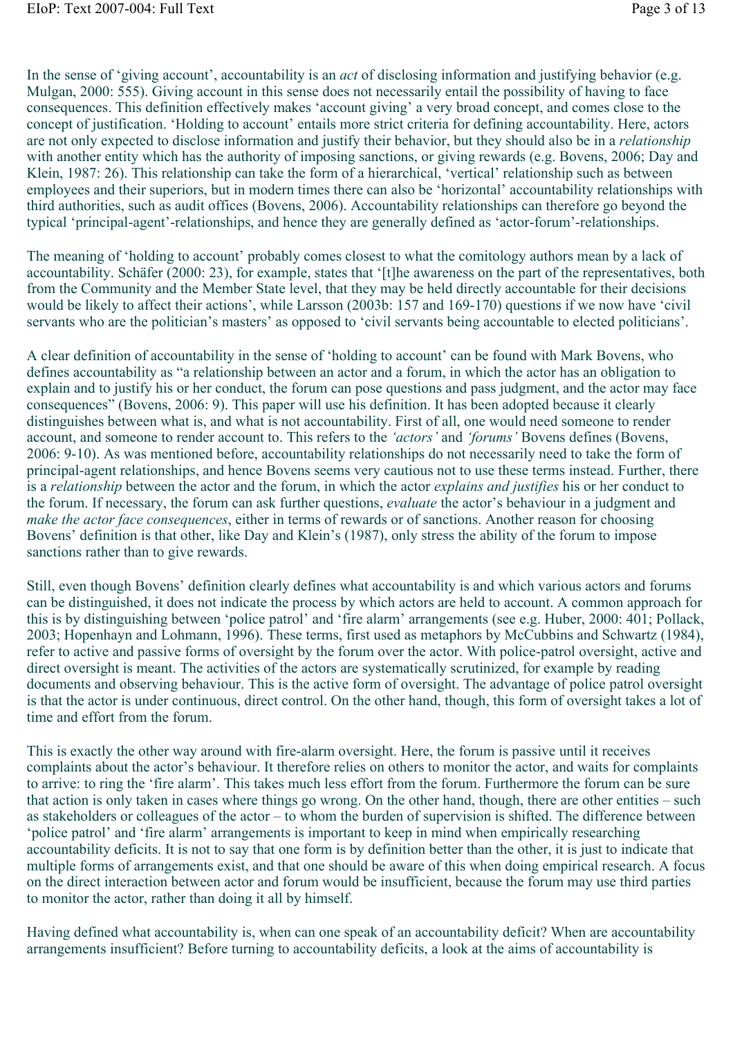In the sense of 'giving account', accountability is an *act* of disclosing information and justifying behavior (e.g. Mulgan, 2000: 555). Giving account in this sense does not necessarily entail the possibility of having to face consequences. This definition effectively makes 'account giving' a very broad concept, and comes close to the concept of justification. 'Holding to account' entails more strict criteria for defining accountability. Here, actors are not only expected to disclose information and justify their behavior, but they should also be in a *relationship* with another entity which has the authority of imposing sanctions, or giving rewards (e.g. Bovens, 2006; Day and Klein, 1987: 26). This relationship can take the form of a hierarchical, 'vertical' relationship such as between employees and their superiors, but in modern times there can also be 'horizontal' accountability relationships with third authorities, such as audit offices (Bovens, 2006). Accountability relationships can therefore go beyond the typical 'principal-agent'-relationships, and hence they are generally defined as 'actor-forum'-relationships.

The meaning of 'holding to account' probably comes closest to what the comitology authors mean by a lack of accountability. Schäfer (2000: 23), for example, states that '[t]he awareness on the part of the representatives, both from the Community and the Member State level, that they may be held directly accountable for their decisions would be likely to affect their actions', while Larsson (2003b: 157 and 169-170) questions if we now have 'civil servants who are the politician's masters' as opposed to 'civil servants being accountable to elected politicians'.

A clear definition of accountability in the sense of 'holding to account' can be found with Mark Bovens, who defines accountability as "a relationship between an actor and a forum, in which the actor has an obligation to explain and to justify his or her conduct, the forum can pose questions and pass judgment, and the actor may face consequences" (Bovens, 2006: 9). This paper will use his definition. It has been adopted because it clearly distinguishes between what is, and what is not accountability. First of all, one would need someone to render account, and someone to render account to. This refers to the *'actors'* and *'forums'* Bovens defines (Bovens, 2006: 9-10). As was mentioned before, accountability relationships do not necessarily need to take the form of principal-agent relationships, and hence Bovens seems very cautious not to use these terms instead. Further, there is a *relationship* between the actor and the forum, in which the actor *explains and justifies* his or her conduct to the forum. If necessary, the forum can ask further questions, *evaluate* the actor's behaviour in a judgment and *make the actor face consequences*, either in terms of rewards or of sanctions. Another reason for choosing Bovens' definition is that other, like Day and Klein's (1987), only stress the ability of the forum to impose sanctions rather than to give rewards.

Still, even though Bovens' definition clearly defines what accountability is and which various actors and forums can be distinguished, it does not indicate the process by which actors are held to account. A common approach for this is by distinguishing between 'police patrol' and 'fire alarm' arrangements (see e.g. Huber, 2000: 401; Pollack, 2003; Hopenhayn and Lohmann, 1996). These terms, first used as metaphors by McCubbins and Schwartz (1984), refer to active and passive forms of oversight by the forum over the actor. With police-patrol oversight, active and direct oversight is meant. The activities of the actors are systematically scrutinized, for example by reading documents and observing behaviour. This is the active form of oversight. The advantage of police patrol oversight is that the actor is under continuous, direct control. On the other hand, though, this form of oversight takes a lot of time and effort from the forum.

This is exactly the other way around with fire-alarm oversight. Here, the forum is passive until it receives complaints about the actor's behaviour. It therefore relies on others to monitor the actor, and waits for complaints to arrive: to ring the 'fire alarm'. This takes much less effort from the forum. Furthermore the forum can be sure that action is only taken in cases where things go wrong. On the other hand, though, there are other entities – such as stakeholders or colleagues of the actor – to whom the burden of supervision is shifted. The difference between 'police patrol' and 'fire alarm' arrangements is important to keep in mind when empirically researching accountability deficits. It is not to say that one form is by definition better than the other, it is just to indicate that multiple forms of arrangements exist, and that one should be aware of this when doing empirical research. A focus on the direct interaction between actor and forum would be insufficient, because the forum may use third parties to monitor the actor, rather than doing it all by himself.

Having defined what accountability is, when can one speak of an accountability deficit? When are accountability arrangements insufficient? Before turning to accountability deficits, a look at the aims of accountability is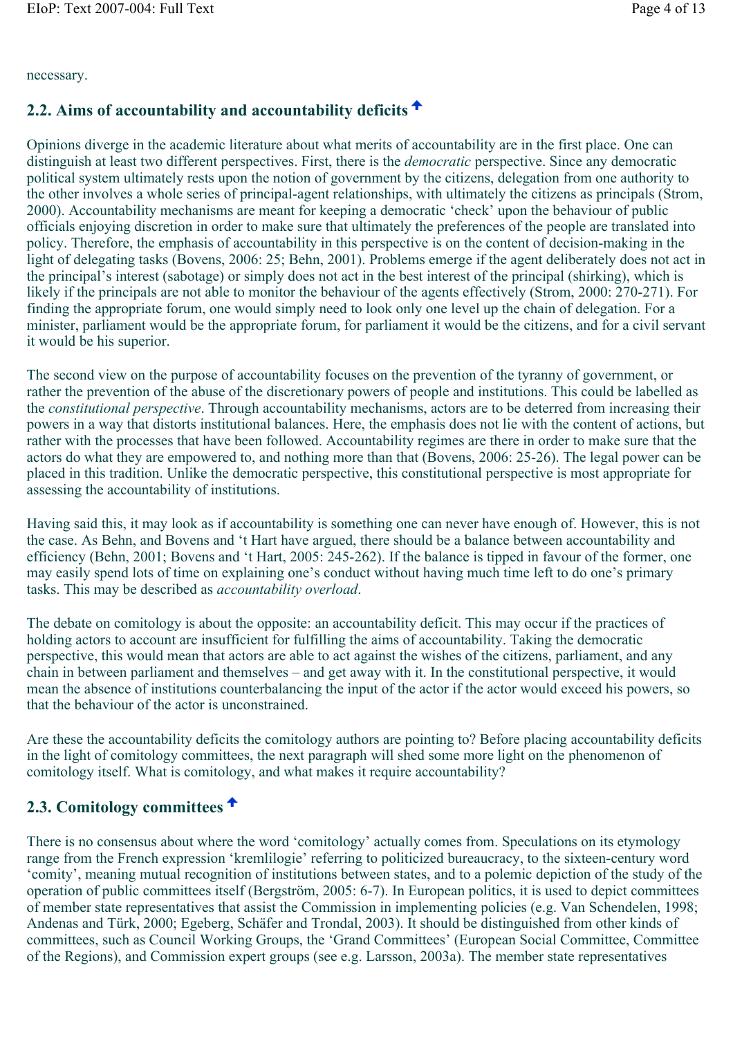#### necessary.

### **2.2. Aims of accountability and accountability deficits**

Opinions diverge in the academic literature about what merits of accountability are in the first place. One can distinguish at least two different perspectives. First, there is the *democratic* perspective. Since any democratic political system ultimately rests upon the notion of government by the citizens, delegation from one authority to the other involves a whole series of principal-agent relationships, with ultimately the citizens as principals (Strom, 2000). Accountability mechanisms are meant for keeping a democratic 'check' upon the behaviour of public officials enjoying discretion in order to make sure that ultimately the preferences of the people are translated into policy. Therefore, the emphasis of accountability in this perspective is on the content of decision-making in the light of delegating tasks (Bovens, 2006: 25; Behn, 2001). Problems emerge if the agent deliberately does not act in the principal's interest (sabotage) or simply does not act in the best interest of the principal (shirking), which is likely if the principals are not able to monitor the behaviour of the agents effectively (Strom, 2000: 270-271). For finding the appropriate forum, one would simply need to look only one level up the chain of delegation. For a minister, parliament would be the appropriate forum, for parliament it would be the citizens, and for a civil servant it would be his superior.

The second view on the purpose of accountability focuses on the prevention of the tyranny of government, or rather the prevention of the abuse of the discretionary powers of people and institutions. This could be labelled as the *constitutional perspective*. Through accountability mechanisms, actors are to be deterred from increasing their powers in a way that distorts institutional balances. Here, the emphasis does not lie with the content of actions, but rather with the processes that have been followed. Accountability regimes are there in order to make sure that the actors do what they are empowered to, and nothing more than that (Bovens, 2006: 25-26). The legal power can be placed in this tradition. Unlike the democratic perspective, this constitutional perspective is most appropriate for assessing the accountability of institutions.

Having said this, it may look as if accountability is something one can never have enough of. However, this is not the case. As Behn, and Bovens and 't Hart have argued, there should be a balance between accountability and efficiency (Behn, 2001; Bovens and 't Hart, 2005: 245-262). If the balance is tipped in favour of the former, one may easily spend lots of time on explaining one's conduct without having much time left to do one's primary tasks. This may be described as *accountability overload*.

The debate on comitology is about the opposite: an accountability deficit. This may occur if the practices of holding actors to account are insufficient for fulfilling the aims of accountability. Taking the democratic perspective, this would mean that actors are able to act against the wishes of the citizens, parliament, and any chain in between parliament and themselves – and get away with it. In the constitutional perspective, it would mean the absence of institutions counterbalancing the input of the actor if the actor would exceed his powers, so that the behaviour of the actor is unconstrained.

Are these the accountability deficits the comitology authors are pointing to? Before placing accountability deficits in the light of comitology committees, the next paragraph will shed some more light on the phenomenon of comitology itself. What is comitology, and what makes it require accountability?

### **2.3. Comitology committees**

There is no consensus about where the word 'comitology' actually comes from. Speculations on its etymology range from the French expression 'kremlilogie' referring to politicized bureaucracy, to the sixteen-century word 'comity', meaning mutual recognition of institutions between states, and to a polemic depiction of the study of the operation of public committees itself (Bergström, 2005: 6-7). In European politics, it is used to depict committees of member state representatives that assist the Commission in implementing policies (e.g. Van Schendelen, 1998; Andenas and Türk, 2000; Egeberg, Schäfer and Trondal, 2003). It should be distinguished from other kinds of committees, such as Council Working Groups, the 'Grand Committees' (European Social Committee, Committee of the Regions), and Commission expert groups (see e.g. Larsson, 2003a). The member state representatives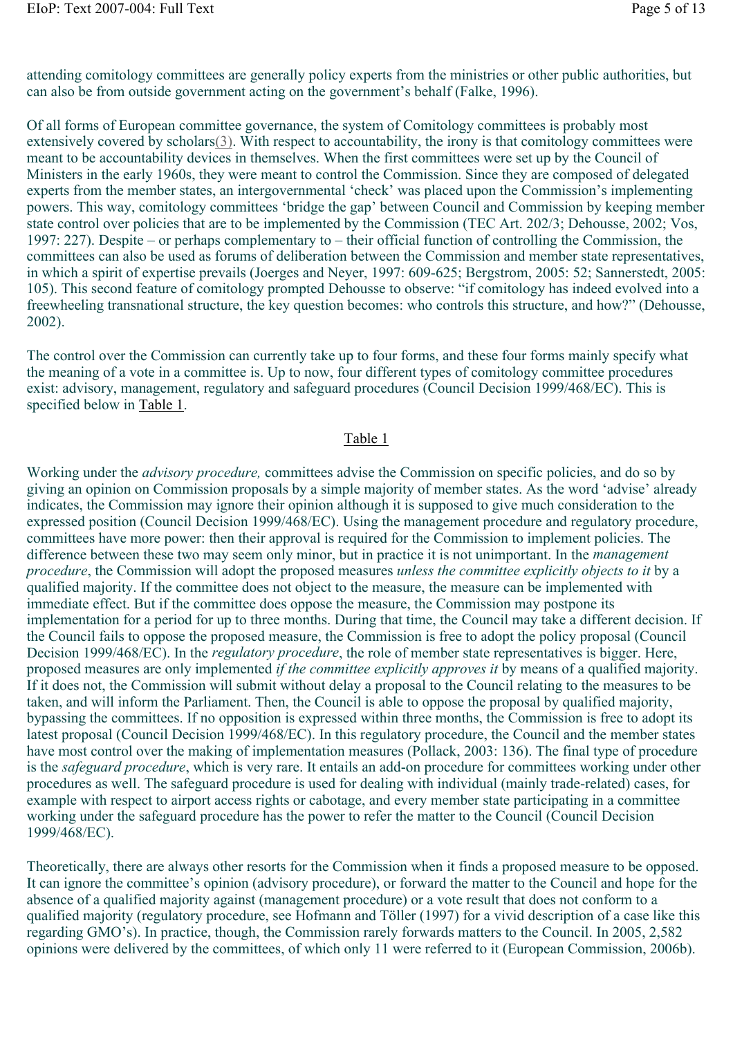attending comitology committees are generally policy experts from the ministries or other public authorities, but can also be from outside government acting on the government's behalf (Falke, 1996).

Of all forms of European committee governance, the system of Comitology committees is probably most extensively covered by scholars(3). With respect to accountability, the irony is that comitology committees were meant to be accountability devices in themselves. When the first committees were set up by the Council of Ministers in the early 1960s, they were meant to control the Commission. Since they are composed of delegated experts from the member states, an intergovernmental 'check' was placed upon the Commission's implementing powers. This way, comitology committees 'bridge the gap' between Council and Commission by keeping member state control over policies that are to be implemented by the Commission (TEC Art. 202/3; Dehousse, 2002; Vos, 1997: 227). Despite – or perhaps complementary to – their official function of controlling the Commission, the committees can also be used as forums of deliberation between the Commission and member state representatives, in which a spirit of expertise prevails (Joerges and Neyer, 1997: 609-625; Bergstrom, 2005: 52; Sannerstedt, 2005: 105). This second feature of comitology prompted Dehousse to observe: "if comitology has indeed evolved into a freewheeling transnational structure, the key question becomes: who controls this structure, and how?" (Dehousse, 2002).

The control over the Commission can currently take up to four forms, and these four forms mainly specify what the meaning of a vote in a committee is. Up to now, four different types of comitology committee procedures exist: advisory, management, regulatory and safeguard procedures (Council Decision 1999/468/EC). This is specified below in Table 1.

#### Table 1

Working under the *advisory procedure,* committees advise the Commission on specific policies, and do so by giving an opinion on Commission proposals by a simple majority of member states. As the word 'advise' already indicates, the Commission may ignore their opinion although it is supposed to give much consideration to the expressed position (Council Decision 1999/468/EC). Using the management procedure and regulatory procedure, committees have more power: then their approval is required for the Commission to implement policies. The difference between these two may seem only minor, but in practice it is not unimportant. In the *management procedure*, the Commission will adopt the proposed measures *unless the committee explicitly objects to it* by a qualified majority. If the committee does not object to the measure, the measure can be implemented with immediate effect. But if the committee does oppose the measure, the Commission may postpone its implementation for a period for up to three months. During that time, the Council may take a different decision. If the Council fails to oppose the proposed measure, the Commission is free to adopt the policy proposal (Council Decision 1999/468/EC). In the *regulatory procedure*, the role of member state representatives is bigger. Here, proposed measures are only implemented *if the committee explicitly approves it* by means of a qualified majority. If it does not, the Commission will submit without delay a proposal to the Council relating to the measures to be taken, and will inform the Parliament. Then, the Council is able to oppose the proposal by qualified majority, bypassing the committees. If no opposition is expressed within three months, the Commission is free to adopt its latest proposal (Council Decision 1999/468/EC). In this regulatory procedure, the Council and the member states have most control over the making of implementation measures (Pollack, 2003: 136). The final type of procedure is the *safeguard procedure*, which is very rare. It entails an add-on procedure for committees working under other procedures as well. The safeguard procedure is used for dealing with individual (mainly trade-related) cases, for example with respect to airport access rights or cabotage, and every member state participating in a committee working under the safeguard procedure has the power to refer the matter to the Council (Council Decision 1999/468/EC).

Theoretically, there are always other resorts for the Commission when it finds a proposed measure to be opposed. It can ignore the committee's opinion (advisory procedure), or forward the matter to the Council and hope for the absence of a qualified majority against (management procedure) or a vote result that does not conform to a qualified majority (regulatory procedure, see Hofmann and Töller (1997) for a vivid description of a case like this regarding GMO's). In practice, though, the Commission rarely forwards matters to the Council. In 2005, 2,582 opinions were delivered by the committees, of which only 11 were referred to it (European Commission, 2006b).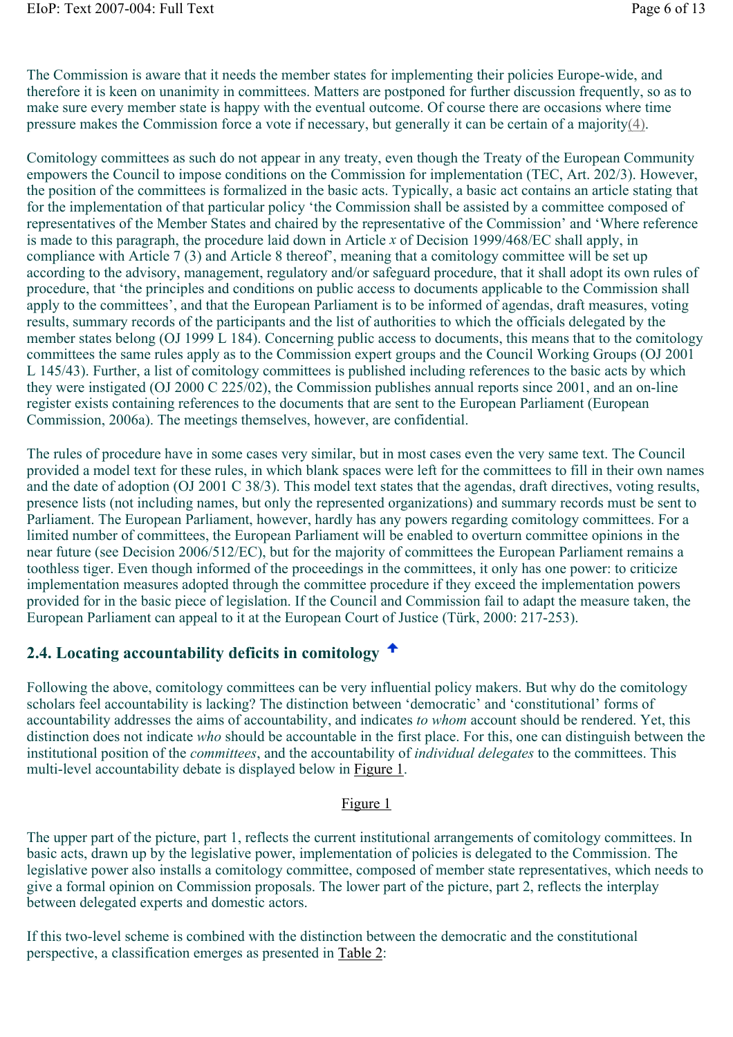The Commission is aware that it needs the member states for implementing their policies Europe-wide, and therefore it is keen on unanimity in committees. Matters are postponed for further discussion frequently, so as to make sure every member state is happy with the eventual outcome. Of course there are occasions where time pressure makes the Commission force a vote if necessary, but generally it can be certain of a majority(4).

Comitology committees as such do not appear in any treaty, even though the Treaty of the European Community empowers the Council to impose conditions on the Commission for implementation (TEC, Art. 202/3). However, the position of the committees is formalized in the basic acts. Typically, a basic act contains an article stating that for the implementation of that particular policy 'the Commission shall be assisted by a committee composed of representatives of the Member States and chaired by the representative of the Commission' and 'Where reference is made to this paragraph, the procedure laid down in Article *x* of Decision 1999/468/EC shall apply, in compliance with Article 7 (3) and Article 8 thereof', meaning that a comitology committee will be set up according to the advisory, management, regulatory and/or safeguard procedure, that it shall adopt its own rules of procedure, that 'the principles and conditions on public access to documents applicable to the Commission shall apply to the committees', and that the European Parliament is to be informed of agendas, draft measures, voting results, summary records of the participants and the list of authorities to which the officials delegated by the member states belong (OJ 1999 L 184). Concerning public access to documents, this means that to the comitology committees the same rules apply as to the Commission expert groups and the Council Working Groups (OJ 2001 L 145/43). Further, a list of comitology committees is published including references to the basic acts by which they were instigated (OJ 2000 C 225/02), the Commission publishes annual reports since 2001, and an on-line register exists containing references to the documents that are sent to the European Parliament (European Commission, 2006a). The meetings themselves, however, are confidential.

The rules of procedure have in some cases very similar, but in most cases even the very same text. The Council provided a model text for these rules, in which blank spaces were left for the committees to fill in their own names and the date of adoption (OJ 2001 C 38/3). This model text states that the agendas, draft directives, voting results, presence lists (not including names, but only the represented organizations) and summary records must be sent to Parliament. The European Parliament, however, hardly has any powers regarding comitology committees. For a limited number of committees, the European Parliament will be enabled to overturn committee opinions in the near future (see Decision 2006/512/EC), but for the majority of committees the European Parliament remains a toothless tiger. Even though informed of the proceedings in the committees, it only has one power: to criticize implementation measures adopted through the committee procedure if they exceed the implementation powers provided for in the basic piece of legislation. If the Council and Commission fail to adapt the measure taken, the European Parliament can appeal to it at the European Court of Justice (Türk, 2000: 217-253).

### **2.4. Locating accountability deficits in comitology**

Following the above, comitology committees can be very influential policy makers. But why do the comitology scholars feel accountability is lacking? The distinction between 'democratic' and 'constitutional' forms of accountability addresses the aims of accountability, and indicates *to whom* account should be rendered. Yet, this distinction does not indicate *who* should be accountable in the first place. For this, one can distinguish between the institutional position of the *committees*, and the accountability of *individual delegates* to the committees. This multi-level accountability debate is displayed below in Figure 1.

#### Figure 1

The upper part of the picture, part 1, reflects the current institutional arrangements of comitology committees. In basic acts, drawn up by the legislative power, implementation of policies is delegated to the Commission. The legislative power also installs a comitology committee, composed of member state representatives, which needs to give a formal opinion on Commission proposals. The lower part of the picture, part 2, reflects the interplay between delegated experts and domestic actors.

If this two-level scheme is combined with the distinction between the democratic and the constitutional perspective, a classification emerges as presented in Table 2: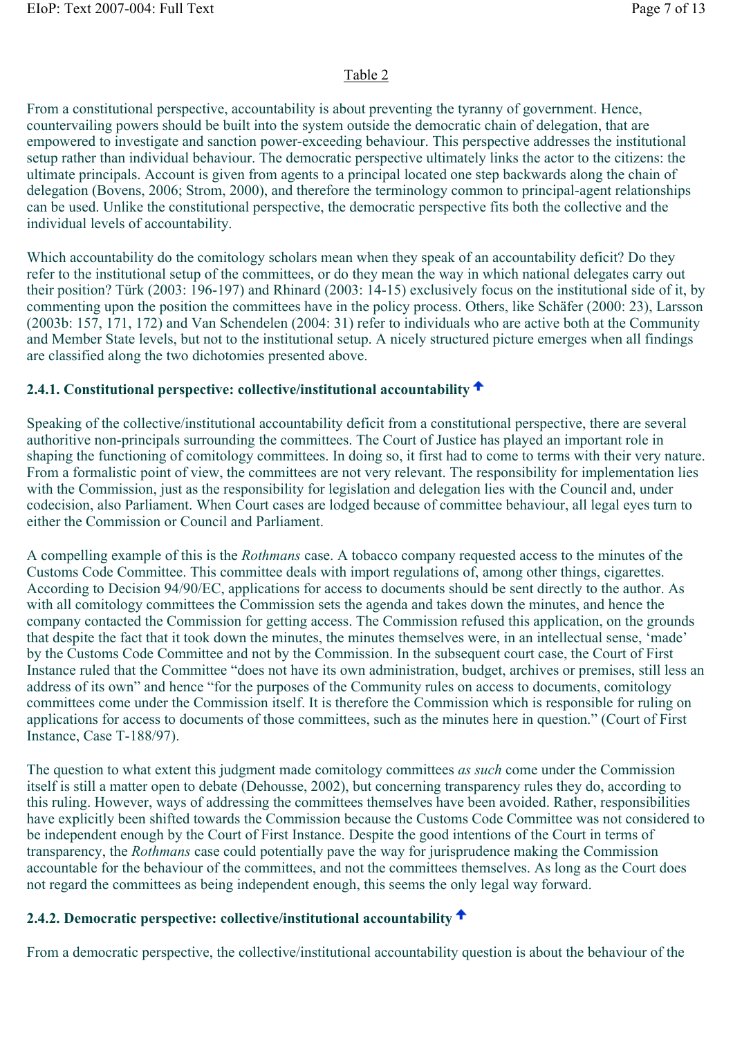### Table 2

From a constitutional perspective, accountability is about preventing the tyranny of government. Hence, countervailing powers should be built into the system outside the democratic chain of delegation, that are empowered to investigate and sanction power-exceeding behaviour. This perspective addresses the institutional setup rather than individual behaviour. The democratic perspective ultimately links the actor to the citizens: the ultimate principals. Account is given from agents to a principal located one step backwards along the chain of delegation (Bovens, 2006; Strom, 2000), and therefore the terminology common to principal-agent relationships can be used. Unlike the constitutional perspective, the democratic perspective fits both the collective and the individual levels of accountability.

Which accountability do the comitology scholars mean when they speak of an accountability deficit? Do they refer to the institutional setup of the committees, or do they mean the way in which national delegates carry out their position? Türk (2003: 196-197) and Rhinard (2003: 14-15) exclusively focus on the institutional side of it, by commenting upon the position the committees have in the policy process. Others, like Schäfer (2000: 23), Larsson (2003b: 157, 171, 172) and Van Schendelen (2004: 31) refer to individuals who are active both at the Community and Member State levels, but not to the institutional setup. A nicely structured picture emerges when all findings are classified along the two dichotomies presented above.

### **2.4.1. Constitutional perspective: collective/institutional accountability**

Speaking of the collective/institutional accountability deficit from a constitutional perspective, there are several authoritive non-principals surrounding the committees. The Court of Justice has played an important role in shaping the functioning of comitology committees. In doing so, it first had to come to terms with their very nature. From a formalistic point of view, the committees are not very relevant. The responsibility for implementation lies with the Commission, just as the responsibility for legislation and delegation lies with the Council and, under codecision, also Parliament. When Court cases are lodged because of committee behaviour, all legal eyes turn to either the Commission or Council and Parliament.

A compelling example of this is the *Rothmans* case. A tobacco company requested access to the minutes of the Customs Code Committee. This committee deals with import regulations of, among other things, cigarettes. According to Decision 94/90/EC, applications for access to documents should be sent directly to the author. As with all comitology committees the Commission sets the agenda and takes down the minutes, and hence the company contacted the Commission for getting access. The Commission refused this application, on the grounds that despite the fact that it took down the minutes, the minutes themselves were, in an intellectual sense, 'made' by the Customs Code Committee and not by the Commission. In the subsequent court case, the Court of First Instance ruled that the Committee "does not have its own administration, budget, archives or premises, still less an address of its own" and hence "for the purposes of the Community rules on access to documents, comitology committees come under the Commission itself. It is therefore the Commission which is responsible for ruling on applications for access to documents of those committees, such as the minutes here in question." (Court of First Instance, Case T-188/97).

The question to what extent this judgment made comitology committees *as such* come under the Commission itself is still a matter open to debate (Dehousse, 2002), but concerning transparency rules they do, according to this ruling. However, ways of addressing the committees themselves have been avoided. Rather, responsibilities have explicitly been shifted towards the Commission because the Customs Code Committee was not considered to be independent enough by the Court of First Instance. Despite the good intentions of the Court in terms of transparency, the *Rothmans* case could potentially pave the way for jurisprudence making the Commission accountable for the behaviour of the committees, and not the committees themselves. As long as the Court does not regard the committees as being independent enough, this seems the only legal way forward.

### **2.4.2. Democratic perspective: collective/institutional accountability**

From a democratic perspective, the collective/institutional accountability question is about the behaviour of the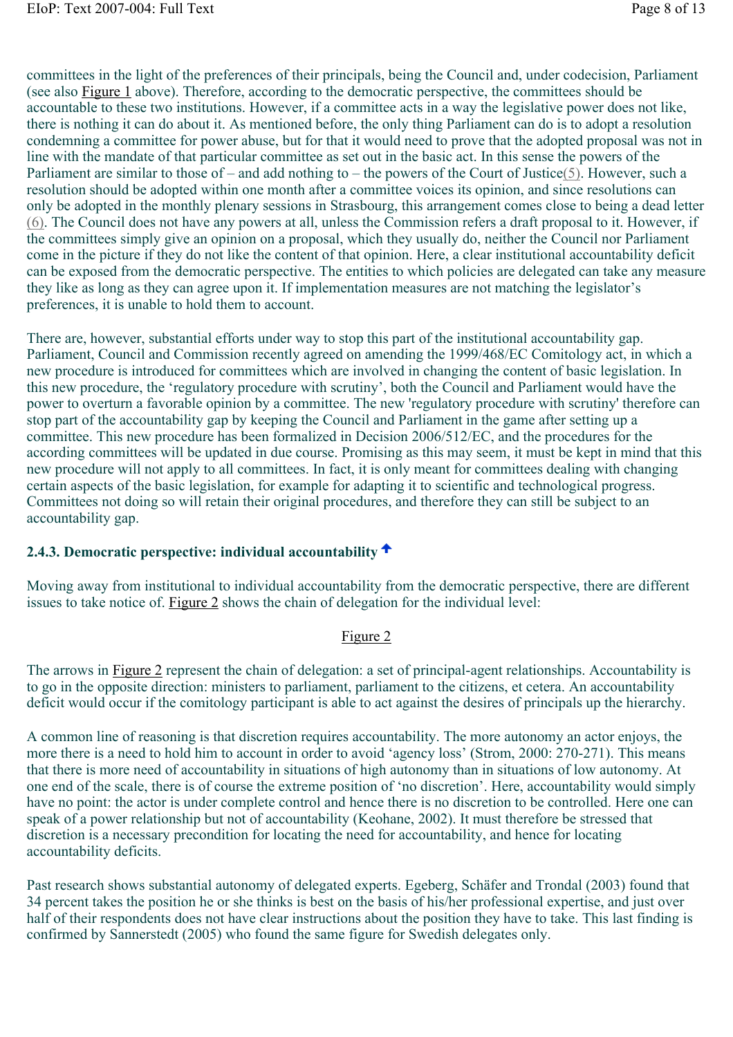committees in the light of the preferences of their principals, being the Council and, under codecision, Parliament (see also Figure 1 above). Therefore, according to the democratic perspective, the committees should be accountable to these two institutions. However, if a committee acts in a way the legislative power does not like, there is nothing it can do about it. As mentioned before, the only thing Parliament can do is to adopt a resolution condemning a committee for power abuse, but for that it would need to prove that the adopted proposal was not in line with the mandate of that particular committee as set out in the basic act. In this sense the powers of the Parliament are similar to those of – and add nothing to – the powers of the Court of Justice(5). However, such a resolution should be adopted within one month after a committee voices its opinion, and since resolutions can only be adopted in the monthly plenary sessions in Strasbourg, this arrangement comes close to being a dead letter (6). The Council does not have any powers at all, unless the Commission refers a draft proposal to it. However, if the committees simply give an opinion on a proposal, which they usually do, neither the Council nor Parliament come in the picture if they do not like the content of that opinion. Here, a clear institutional accountability deficit can be exposed from the democratic perspective. The entities to which policies are delegated can take any measure they like as long as they can agree upon it. If implementation measures are not matching the legislator's preferences, it is unable to hold them to account.

There are, however, substantial efforts under way to stop this part of the institutional accountability gap. Parliament, Council and Commission recently agreed on amending the 1999/468/EC Comitology act, in which a new procedure is introduced for committees which are involved in changing the content of basic legislation. In this new procedure, the 'regulatory procedure with scrutiny', both the Council and Parliament would have the power to overturn a favorable opinion by a committee. The new 'regulatory procedure with scrutiny' therefore can stop part of the accountability gap by keeping the Council and Parliament in the game after setting up a committee. This new procedure has been formalized in Decision 2006/512/EC, and the procedures for the according committees will be updated in due course. Promising as this may seem, it must be kept in mind that this new procedure will not apply to all committees. In fact, it is only meant for committees dealing with changing certain aspects of the basic legislation, for example for adapting it to scientific and technological progress. Committees not doing so will retain their original procedures, and therefore they can still be subject to an accountability gap.

### **2.4.3. Democratic perspective: individual accountability**

Moving away from institutional to individual accountability from the democratic perspective, there are different issues to take notice of. Figure 2 shows the chain of delegation for the individual level:

#### Figure 2

The arrows in Figure 2 represent the chain of delegation: a set of principal-agent relationships. Accountability is to go in the opposite direction: ministers to parliament, parliament to the citizens, et cetera. An accountability deficit would occur if the comitology participant is able to act against the desires of principals up the hierarchy.

A common line of reasoning is that discretion requires accountability. The more autonomy an actor enjoys, the more there is a need to hold him to account in order to avoid 'agency loss' (Strom, 2000: 270-271). This means that there is more need of accountability in situations of high autonomy than in situations of low autonomy. At one end of the scale, there is of course the extreme position of 'no discretion'. Here, accountability would simply have no point: the actor is under complete control and hence there is no discretion to be controlled. Here one can speak of a power relationship but not of accountability (Keohane, 2002). It must therefore be stressed that discretion is a necessary precondition for locating the need for accountability, and hence for locating accountability deficits.

Past research shows substantial autonomy of delegated experts. Egeberg, Schäfer and Trondal (2003) found that 34 percent takes the position he or she thinks is best on the basis of his/her professional expertise, and just over half of their respondents does not have clear instructions about the position they have to take. This last finding is confirmed by Sannerstedt (2005) who found the same figure for Swedish delegates only.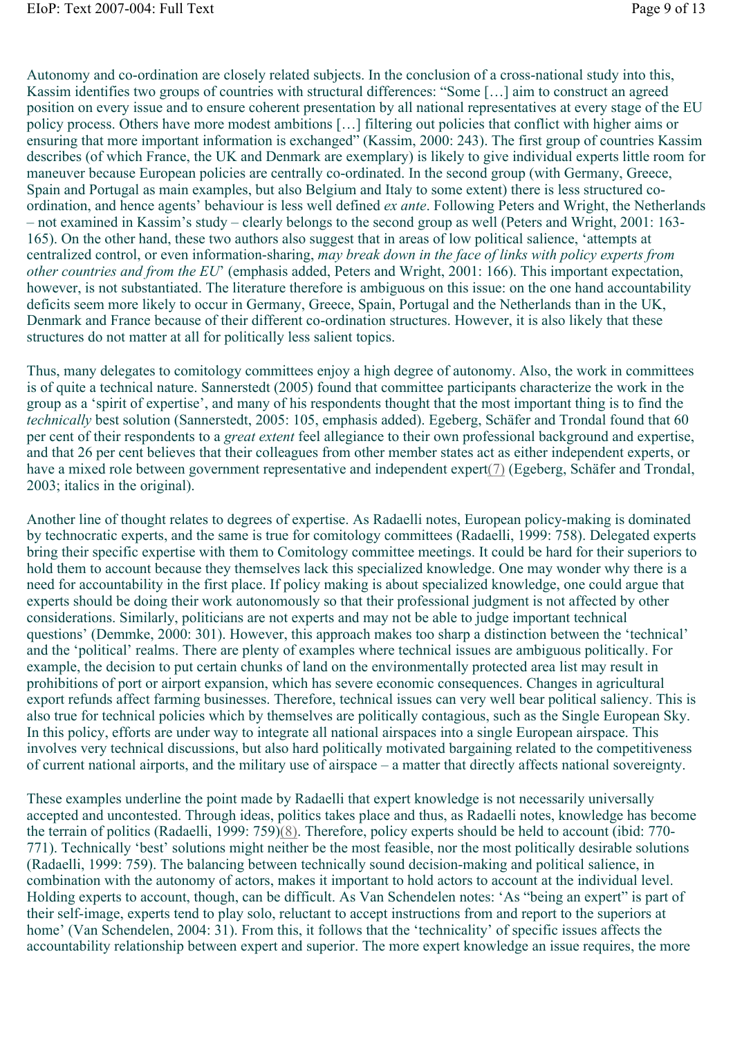Autonomy and co-ordination are closely related subjects. In the conclusion of a cross-national study into this, Kassim identifies two groups of countries with structural differences: "Some […] aim to construct an agreed position on every issue and to ensure coherent presentation by all national representatives at every stage of the EU policy process. Others have more modest ambitions […] filtering out policies that conflict with higher aims or ensuring that more important information is exchanged" (Kassim, 2000: 243). The first group of countries Kassim describes (of which France, the UK and Denmark are exemplary) is likely to give individual experts little room for maneuver because European policies are centrally co-ordinated. In the second group (with Germany, Greece, Spain and Portugal as main examples, but also Belgium and Italy to some extent) there is less structured coordination, and hence agents' behaviour is less well defined *ex ante*. Following Peters and Wright, the Netherlands – not examined in Kassim's study – clearly belongs to the second group as well (Peters and Wright, 2001: 163- 165). On the other hand, these two authors also suggest that in areas of low political salience, 'attempts at centralized control, or even information-sharing, *may break down in the face of links with policy experts from other countries and from the EU*' (emphasis added, Peters and Wright, 2001: 166). This important expectation, however, is not substantiated. The literature therefore is ambiguous on this issue: on the one hand accountability deficits seem more likely to occur in Germany, Greece, Spain, Portugal and the Netherlands than in the UK, Denmark and France because of their different co-ordination structures. However, it is also likely that these structures do not matter at all for politically less salient topics.

Thus, many delegates to comitology committees enjoy a high degree of autonomy. Also, the work in committees is of quite a technical nature. Sannerstedt (2005) found that committee participants characterize the work in the group as a 'spirit of expertise', and many of his respondents thought that the most important thing is to find the *technically* best solution (Sannerstedt, 2005: 105, emphasis added). Egeberg, Schäfer and Trondal found that 60 per cent of their respondents to a *great extent* feel allegiance to their own professional background and expertise, and that 26 per cent believes that their colleagues from other member states act as either independent experts, or have a mixed role between government representative and independent expert(7) (Egeberg, Schäfer and Trondal, 2003; italics in the original).

Another line of thought relates to degrees of expertise. As Radaelli notes, European policy-making is dominated by technocratic experts, and the same is true for comitology committees (Radaelli, 1999: 758). Delegated experts bring their specific expertise with them to Comitology committee meetings. It could be hard for their superiors to hold them to account because they themselves lack this specialized knowledge. One may wonder why there is a need for accountability in the first place. If policy making is about specialized knowledge, one could argue that experts should be doing their work autonomously so that their professional judgment is not affected by other considerations. Similarly, politicians are not experts and may not be able to judge important technical questions' (Demmke, 2000: 301). However, this approach makes too sharp a distinction between the 'technical' and the 'political' realms. There are plenty of examples where technical issues are ambiguous politically. For example, the decision to put certain chunks of land on the environmentally protected area list may result in prohibitions of port or airport expansion, which has severe economic consequences. Changes in agricultural export refunds affect farming businesses. Therefore, technical issues can very well bear political saliency. This is also true for technical policies which by themselves are politically contagious, such as the Single European Sky. In this policy, efforts are under way to integrate all national airspaces into a single European airspace. This involves very technical discussions, but also hard politically motivated bargaining related to the competitiveness of current national airports, and the military use of airspace – a matter that directly affects national sovereignty.

These examples underline the point made by Radaelli that expert knowledge is not necessarily universally accepted and uncontested. Through ideas, politics takes place and thus, as Radaelli notes, knowledge has become the terrain of politics (Radaelli, 1999: 759)(8). Therefore, policy experts should be held to account (ibid: 770- 771). Technically 'best' solutions might neither be the most feasible, nor the most politically desirable solutions (Radaelli, 1999: 759). The balancing between technically sound decision-making and political salience, in combination with the autonomy of actors, makes it important to hold actors to account at the individual level. Holding experts to account, though, can be difficult. As Van Schendelen notes: 'As "being an expert" is part of their self-image, experts tend to play solo, reluctant to accept instructions from and report to the superiors at home' (Van Schendelen, 2004: 31). From this, it follows that the 'technicality' of specific issues affects the accountability relationship between expert and superior. The more expert knowledge an issue requires, the more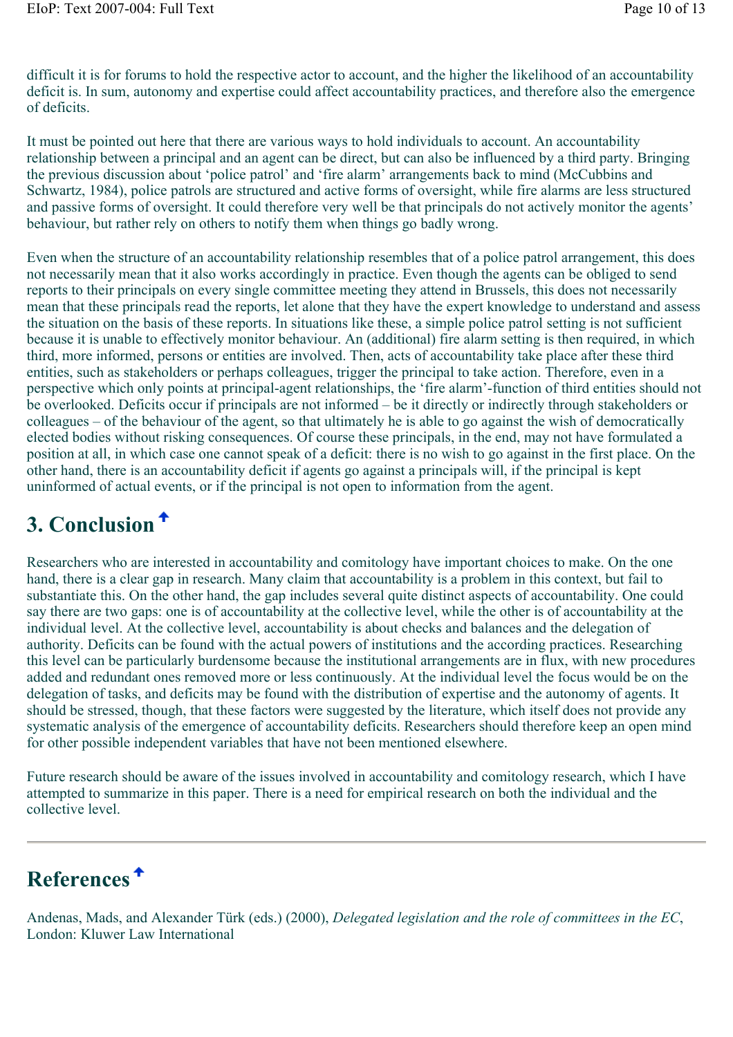difficult it is for forums to hold the respective actor to account, and the higher the likelihood of an accountability deficit is. In sum, autonomy and expertise could affect accountability practices, and therefore also the emergence of deficits.

It must be pointed out here that there are various ways to hold individuals to account. An accountability relationship between a principal and an agent can be direct, but can also be influenced by a third party. Bringing the previous discussion about 'police patrol' and 'fire alarm' arrangements back to mind (McCubbins and Schwartz, 1984), police patrols are structured and active forms of oversight, while fire alarms are less structured and passive forms of oversight. It could therefore very well be that principals do not actively monitor the agents' behaviour, but rather rely on others to notify them when things go badly wrong.

Even when the structure of an accountability relationship resembles that of a police patrol arrangement, this does not necessarily mean that it also works accordingly in practice. Even though the agents can be obliged to send reports to their principals on every single committee meeting they attend in Brussels, this does not necessarily mean that these principals read the reports, let alone that they have the expert knowledge to understand and assess the situation on the basis of these reports. In situations like these, a simple police patrol setting is not sufficient because it is unable to effectively monitor behaviour. An (additional) fire alarm setting is then required, in which third, more informed, persons or entities are involved. Then, acts of accountability take place after these third entities, such as stakeholders or perhaps colleagues, trigger the principal to take action. Therefore, even in a perspective which only points at principal-agent relationships, the 'fire alarm'-function of third entities should not be overlooked. Deficits occur if principals are not informed – be it directly or indirectly through stakeholders or colleagues – of the behaviour of the agent, so that ultimately he is able to go against the wish of democratically elected bodies without risking consequences. Of course these principals, in the end, may not have formulated a position at all, in which case one cannot speak of a deficit: there is no wish to go against in the first place. On the other hand, there is an accountability deficit if agents go against a principals will, if the principal is kept uninformed of actual events, or if the principal is not open to information from the agent.

## **3. Conclusion**

Researchers who are interested in accountability and comitology have important choices to make. On the one hand, there is a clear gap in research. Many claim that accountability is a problem in this context, but fail to substantiate this. On the other hand, the gap includes several quite distinct aspects of accountability. One could say there are two gaps: one is of accountability at the collective level, while the other is of accountability at the individual level. At the collective level, accountability is about checks and balances and the delegation of authority. Deficits can be found with the actual powers of institutions and the according practices. Researching this level can be particularly burdensome because the institutional arrangements are in flux, with new procedures added and redundant ones removed more or less continuously. At the individual level the focus would be on the delegation of tasks, and deficits may be found with the distribution of expertise and the autonomy of agents. It should be stressed, though, that these factors were suggested by the literature, which itself does not provide any systematic analysis of the emergence of accountability deficits. Researchers should therefore keep an open mind for other possible independent variables that have not been mentioned elsewhere.

Future research should be aware of the issues involved in accountability and comitology research, which I have attempted to summarize in this paper. There is a need for empirical research on both the individual and the collective level.

# **References**

Andenas, Mads, and Alexander Türk (eds.) (2000), *Delegated legislation and the role of committees in the EC*, London: Kluwer Law International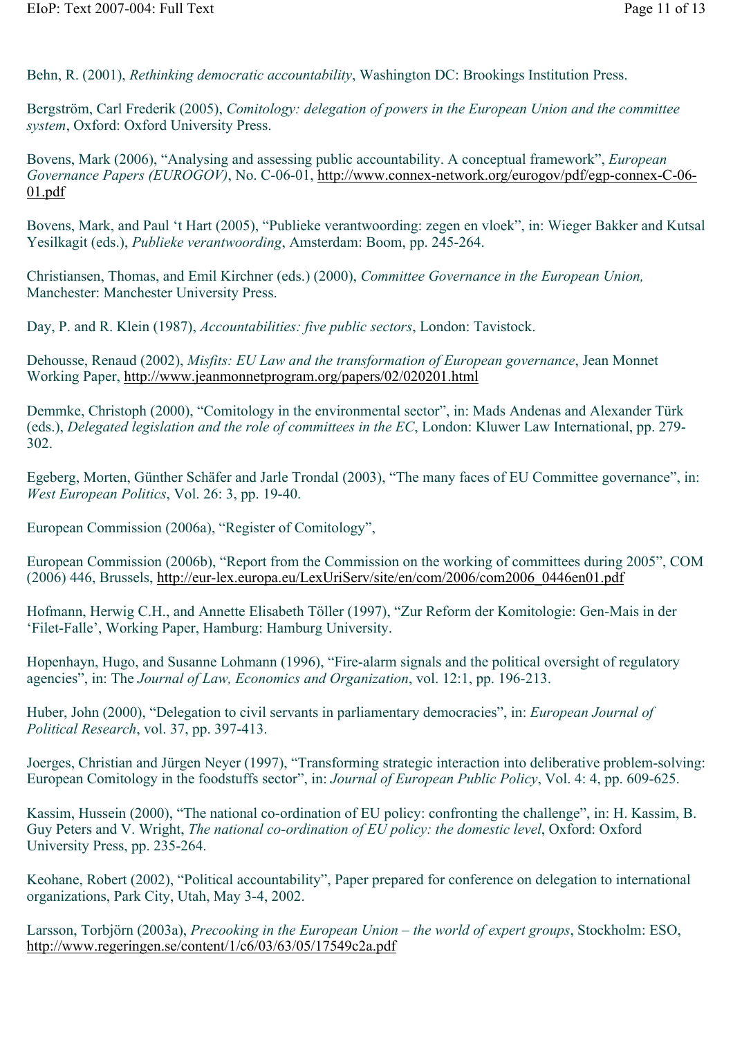Behn, R. (2001), *Rethinking democratic accountability*, Washington DC: Brookings Institution Press.

Bergström, Carl Frederik (2005), *Comitology: delegation of powers in the European Union and the committee system*, Oxford: Oxford University Press.

Bovens, Mark (2006), "Analysing and assessing public accountability. A conceptual framework", *European Governance Papers (EUROGOV)*, No. C-06-01, http://www.connex-network.org/eurogov/pdf/egp-connex-C-06- 01.pdf

Bovens, Mark, and Paul 't Hart (2005), "Publieke verantwoording: zegen en vloek", in: Wieger Bakker and Kutsal Yesilkagit (eds.), *Publieke verantwoording*, Amsterdam: Boom, pp. 245-264.

Christiansen, Thomas, and Emil Kirchner (eds.) (2000), *Committee Governance in the European Union,* Manchester: Manchester University Press.

Day, P. and R. Klein (1987), *Accountabilities: five public sectors*, London: Tavistock.

Dehousse, Renaud (2002), *Misfits: EU Law and the transformation of European governance*, Jean Monnet Working Paper, http://www.jeanmonnetprogram.org/papers/02/020201.html

Demmke, Christoph (2000), "Comitology in the environmental sector", in: Mads Andenas and Alexander Türk (eds.), *Delegated legislation and the role of committees in the EC*, London: Kluwer Law International, pp. 279- 302.

Egeberg, Morten, Günther Schäfer and Jarle Trondal (2003), "The many faces of EU Committee governance", in: *West European Politics*, Vol. 26: 3, pp. 19-40.

European Commission (2006a), "Register of Comitology",

European Commission (2006b), "Report from the Commission on the working of committees during 2005", COM (2006) 446, Brussels, http://eur-lex.europa.eu/LexUriServ/site/en/com/2006/com2006\_0446en01.pdf

Hofmann, Herwig C.H., and Annette Elisabeth Töller (1997), "Zur Reform der Komitologie: Gen-Mais in der 'Filet-Falle', Working Paper, Hamburg: Hamburg University.

Hopenhayn, Hugo, and Susanne Lohmann (1996), "Fire-alarm signals and the political oversight of regulatory agencies", in: The *Journal of Law, Economics and Organization*, vol. 12:1, pp. 196-213.

Huber, John (2000), "Delegation to civil servants in parliamentary democracies", in: *European Journal of Political Research*, vol. 37, pp. 397-413.

Joerges, Christian and Jürgen Neyer (1997), "Transforming strategic interaction into deliberative problem-solving: European Comitology in the foodstuffs sector", in: *Journal of European Public Policy*, Vol. 4: 4, pp. 609-625.

Kassim, Hussein (2000), "The national co-ordination of EU policy: confronting the challenge", in: H. Kassim, B. Guy Peters and V. Wright, *The national co-ordination of EU policy: the domestic level*, Oxford: Oxford University Press, pp. 235-264.

Keohane, Robert (2002), "Political accountability", Paper prepared for conference on delegation to international organizations, Park City, Utah, May 3-4, 2002.

Larsson, Torbjörn (2003a), *Precooking in the European Union – the world of expert groups*, Stockholm: ESO, http://www.regeringen.se/content/1/c6/03/63/05/17549c2a.pdf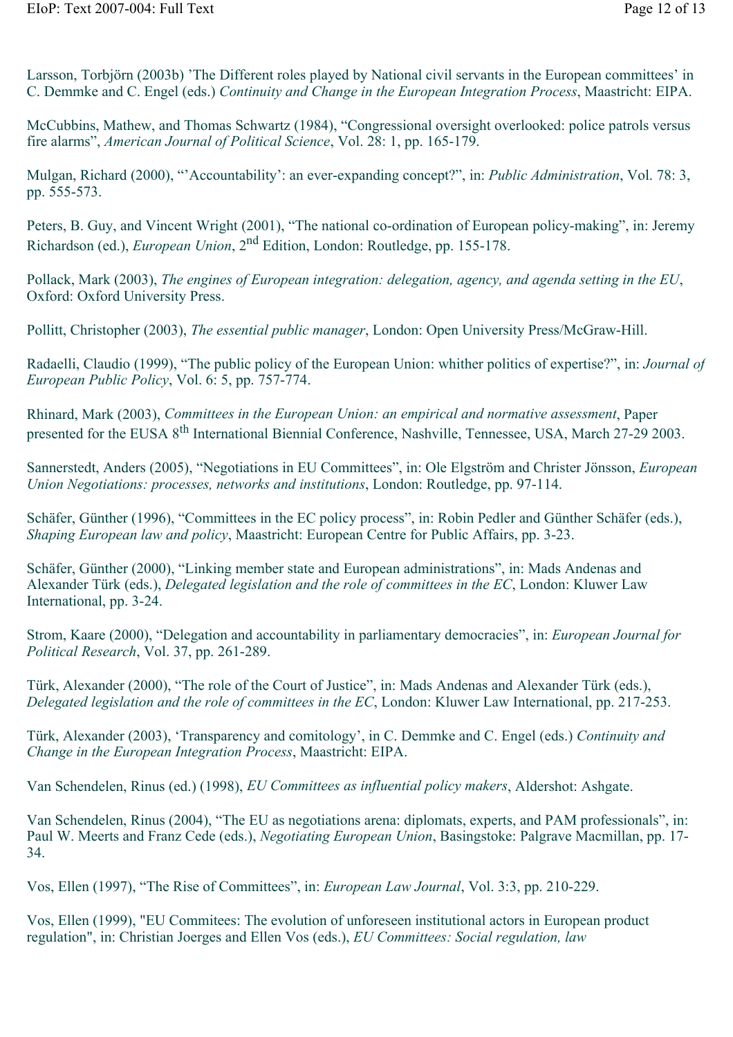Larsson, Torbjörn (2003b) 'The Different roles played by National civil servants in the European committees' in C. Demmke and C. Engel (eds.) *Continuity and Change in the European Integration Process*, Maastricht: EIPA.

McCubbins, Mathew, and Thomas Schwartz (1984), "Congressional oversight overlooked: police patrols versus fire alarms", *American Journal of Political Science*, Vol. 28: 1, pp. 165-179.

Mulgan, Richard (2000), "'Accountability': an ever-expanding concept?", in: *Public Administration*, Vol. 78: 3, pp. 555-573.

Peters, B. Guy, and Vincent Wright (2001), "The national co-ordination of European policy-making", in: Jeremy Richardson (ed.), *European Union*, 2nd Edition, London: Routledge, pp. 155-178.

Pollack, Mark (2003), *The engines of European integration: delegation, agency, and agenda setting in the EU*, Oxford: Oxford University Press.

Pollitt, Christopher (2003), *The essential public manager*, London: Open University Press/McGraw-Hill.

Radaelli, Claudio (1999), "The public policy of the European Union: whither politics of expertise?", in: *Journal of European Public Policy*, Vol. 6: 5, pp. 757-774.

Rhinard, Mark (2003), *Committees in the European Union: an empirical and normative assessment*, Paper presented for the EUSA 8<sup>th</sup> International Biennial Conference, Nashville, Tennessee, USA, March 27-29 2003.

Sannerstedt, Anders (2005), "Negotiations in EU Committees", in: Ole Elgström and Christer Jönsson, *European Union Negotiations: processes, networks and institutions*, London: Routledge, pp. 97-114.

Schäfer, Günther (1996), "Committees in the EC policy process", in: Robin Pedler and Günther Schäfer (eds.), *Shaping European law and policy*, Maastricht: European Centre for Public Affairs, pp. 3-23.

Schäfer, Günther (2000), "Linking member state and European administrations", in: Mads Andenas and Alexander Türk (eds.), *Delegated legislation and the role of committees in the EC*, London: Kluwer Law International, pp. 3-24.

Strom, Kaare (2000), "Delegation and accountability in parliamentary democracies", in: *European Journal for Political Research*, Vol. 37, pp. 261-289.

Türk, Alexander (2000), "The role of the Court of Justice", in: Mads Andenas and Alexander Türk (eds.), *Delegated legislation and the role of committees in the EC*, London: Kluwer Law International, pp. 217-253.

Türk, Alexander (2003), 'Transparency and comitology', in C. Demmke and C. Engel (eds.) *Continuity and Change in the European Integration Process*, Maastricht: EIPA.

Van Schendelen, Rinus (ed.) (1998), *EU Committees as influential policy makers*, Aldershot: Ashgate.

Van Schendelen, Rinus (2004), "The EU as negotiations arena: diplomats, experts, and PAM professionals", in: Paul W. Meerts and Franz Cede (eds.), *Negotiating European Union*, Basingstoke: Palgrave Macmillan, pp. 17- 34.

Vos, Ellen (1997), "The Rise of Committees", in: *European Law Journal*, Vol. 3:3, pp. 210-229.

Vos, Ellen (1999), "EU Commitees: The evolution of unforeseen institutional actors in European product regulation", in: Christian Joerges and Ellen Vos (eds.), *EU Committees: Social regulation, law*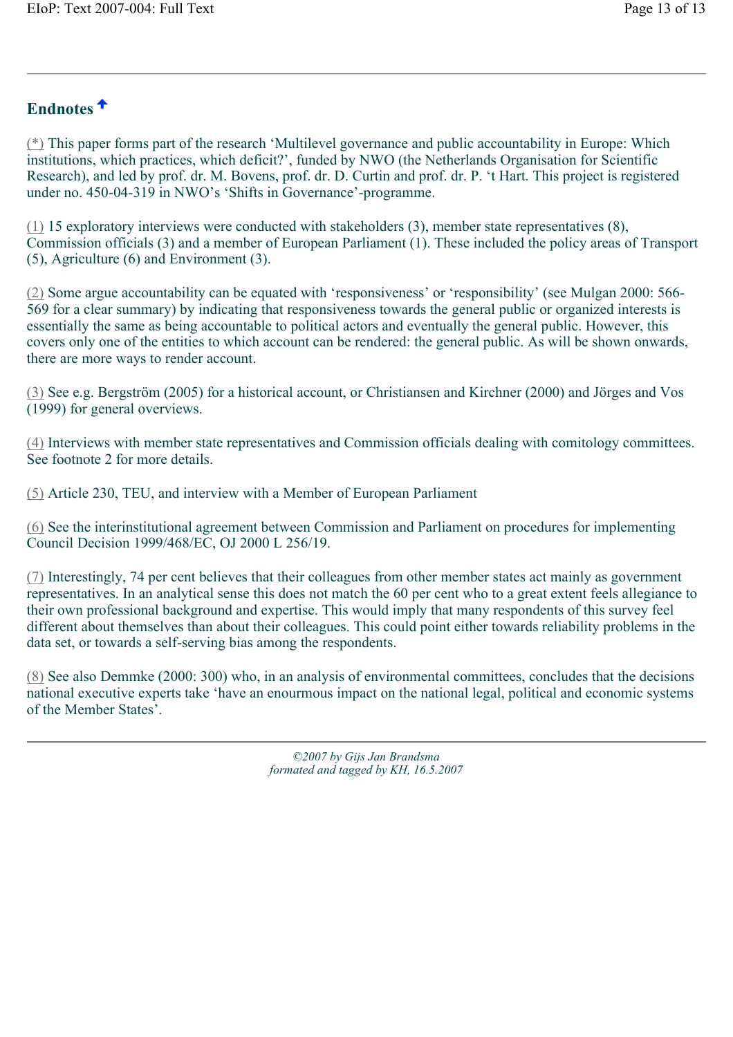### **Endnotes**

(\*) This paper forms part of the research 'Multilevel governance and public accountability in Europe: Which institutions, which practices, which deficit?', funded by NWO (the Netherlands Organisation for Scientific Research), and led by prof. dr. M. Bovens, prof. dr. D. Curtin and prof. dr. P. 't Hart. This project is registered under no. 450-04-319 in NWO's 'Shifts in Governance'-programme.

(1) 15 exploratory interviews were conducted with stakeholders (3), member state representatives (8), Commission officials (3) and a member of European Parliament (1). These included the policy areas of Transport (5), Agriculture (6) and Environment (3).

(2) Some argue accountability can be equated with 'responsiveness' or 'responsibility' (see Mulgan 2000: 566- 569 for a clear summary) by indicating that responsiveness towards the general public or organized interests is essentially the same as being accountable to political actors and eventually the general public. However, this covers only one of the entities to which account can be rendered: the general public. As will be shown onwards, there are more ways to render account.

(3) See e.g. Bergström (2005) for a historical account, or Christiansen and Kirchner (2000) and Jörges and Vos (1999) for general overviews.

(4) Interviews with member state representatives and Commission officials dealing with comitology committees. See footnote 2 for more details.

(5) Article 230, TEU, and interview with a Member of European Parliament

(6) See the interinstitutional agreement between Commission and Parliament on procedures for implementing Council Decision 1999/468/EC, OJ 2000 L 256/19.

(7) Interestingly, 74 per cent believes that their colleagues from other member states act mainly as government representatives. In an analytical sense this does not match the 60 per cent who to a great extent feels allegiance to their own professional background and expertise. This would imply that many respondents of this survey feel different about themselves than about their colleagues. This could point either towards reliability problems in the data set, or towards a self-serving bias among the respondents.

(8) See also Demmke (2000: 300) who, in an analysis of environmental committees, concludes that the decisions national executive experts take 'have an enourmous impact on the national legal, political and economic systems of the Member States'.

> *©2007 by Gijs Jan Brandsma formated and tagged by KH, 16.5.2007*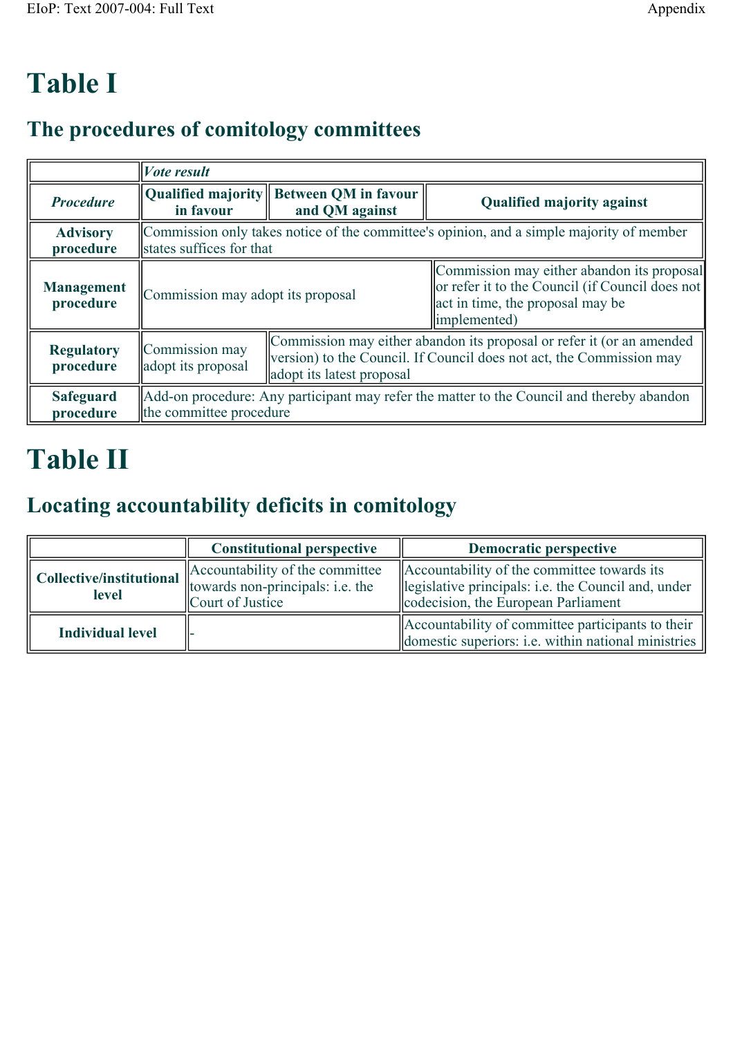# **Table I**

# **The procedures of comitology committees**

|                                | <i>Vote result</i>                                                                                                   |                                                                                                                                                                            |                                                                                                                                                    |  |
|--------------------------------|----------------------------------------------------------------------------------------------------------------------|----------------------------------------------------------------------------------------------------------------------------------------------------------------------------|----------------------------------------------------------------------------------------------------------------------------------------------------|--|
| <b>Procedure</b>               | in favour                                                                                                            | Qualified majority Between QM in favour<br>and QM against                                                                                                                  | <b>Qualified majority against</b>                                                                                                                  |  |
| <b>Advisory</b><br>procedure   | Commission only takes notice of the committee's opinion, and a simple majority of member<br>states suffices for that |                                                                                                                                                                            |                                                                                                                                                    |  |
| <b>Management</b><br>procedure | Commission may adopt its proposal                                                                                    |                                                                                                                                                                            | Commission may either abandon its proposal<br>or refer it to the Council (if Council does not<br>act in time, the proposal may be<br>limplemented) |  |
| <b>Regulatory</b><br>procedure | Commission may<br>adopt its proposal                                                                                 | Commission may either abandon its proposal or refer it (or an amended<br>Version) to the Council. If Council does not act, the Commission may<br>adopt its latest proposal |                                                                                                                                                    |  |
| <b>Safeguard</b><br>procedure  | Add-on procedure: Any participant may refer the matter to the Council and thereby abandon<br>the committee procedure |                                                                                                                                                                            |                                                                                                                                                    |  |

# **Table II**

# **Locating accountability deficits in comitology**

|                                          | <b>Constitutional perspective</b>                                                       | Democratic perspective                                                                                                                    |
|------------------------------------------|-----------------------------------------------------------------------------------------|-------------------------------------------------------------------------------------------------------------------------------------------|
| Collective/institutional<br><b>level</b> | Accountability of the committee<br>towards non-principals: i.e. the<br>Court of Justice | Accountability of the committee towards its<br>legislative principals: i.e. the Council and, under<br>codecision, the European Parliament |
| <b>Individual level</b>                  |                                                                                         | Accountability of committee participants to their<br>domestic superiors: <i>i.e.</i> within national ministries                           |